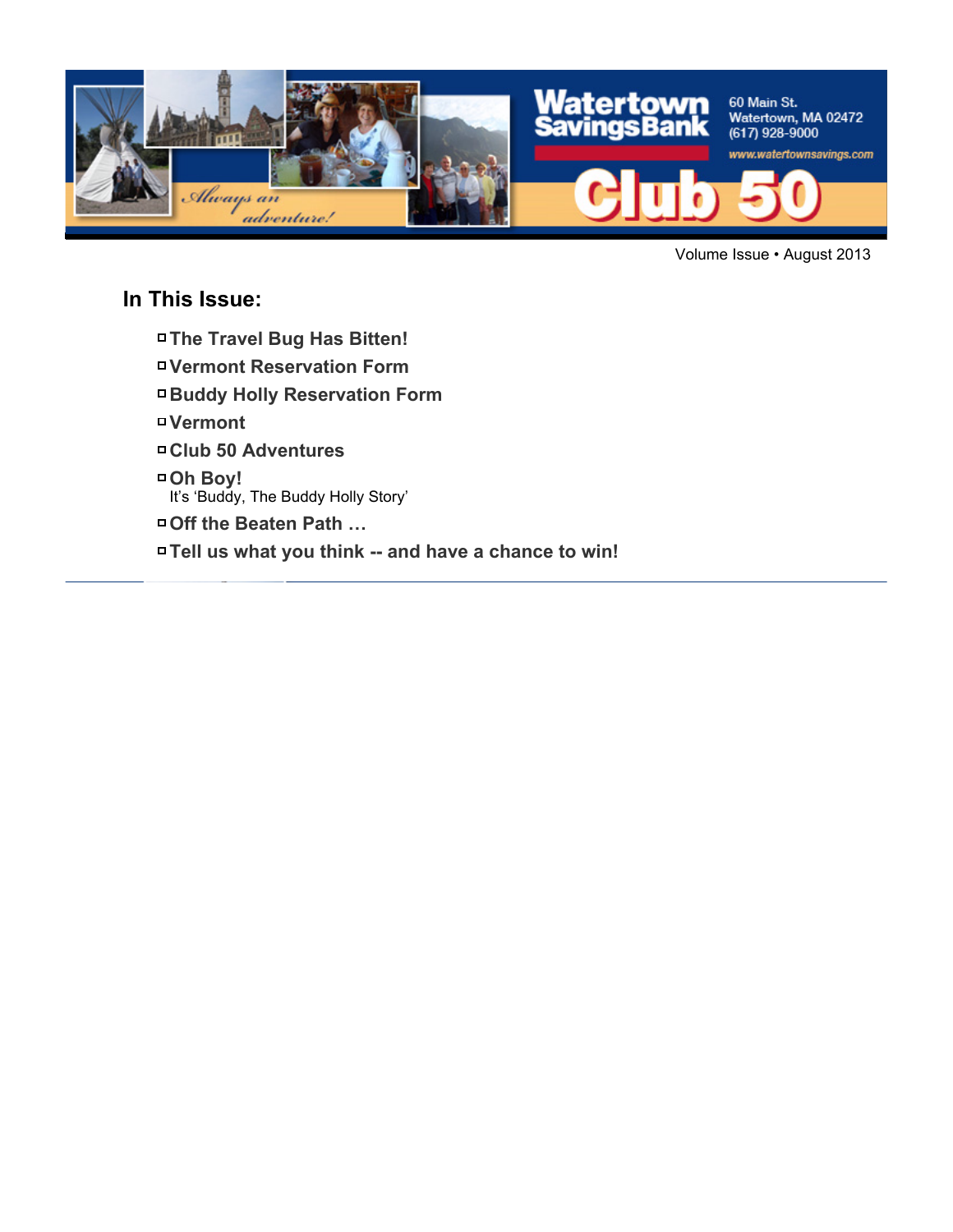

Volume Issue • August 2013

#### **In This Issue:**

- **The Travel Bug Has Bitten!**
- **Vermont Reservation Form**
- **Buddy Holly Reservation Form**
- **Vermont**
- **Club 50 Adventures**
- **Oh Boy!**
	- It's 'Buddy, The Buddy Holly Story'
- **Off the Beaten Path …**
- **Tell us what you think -- and have a chance to win!**

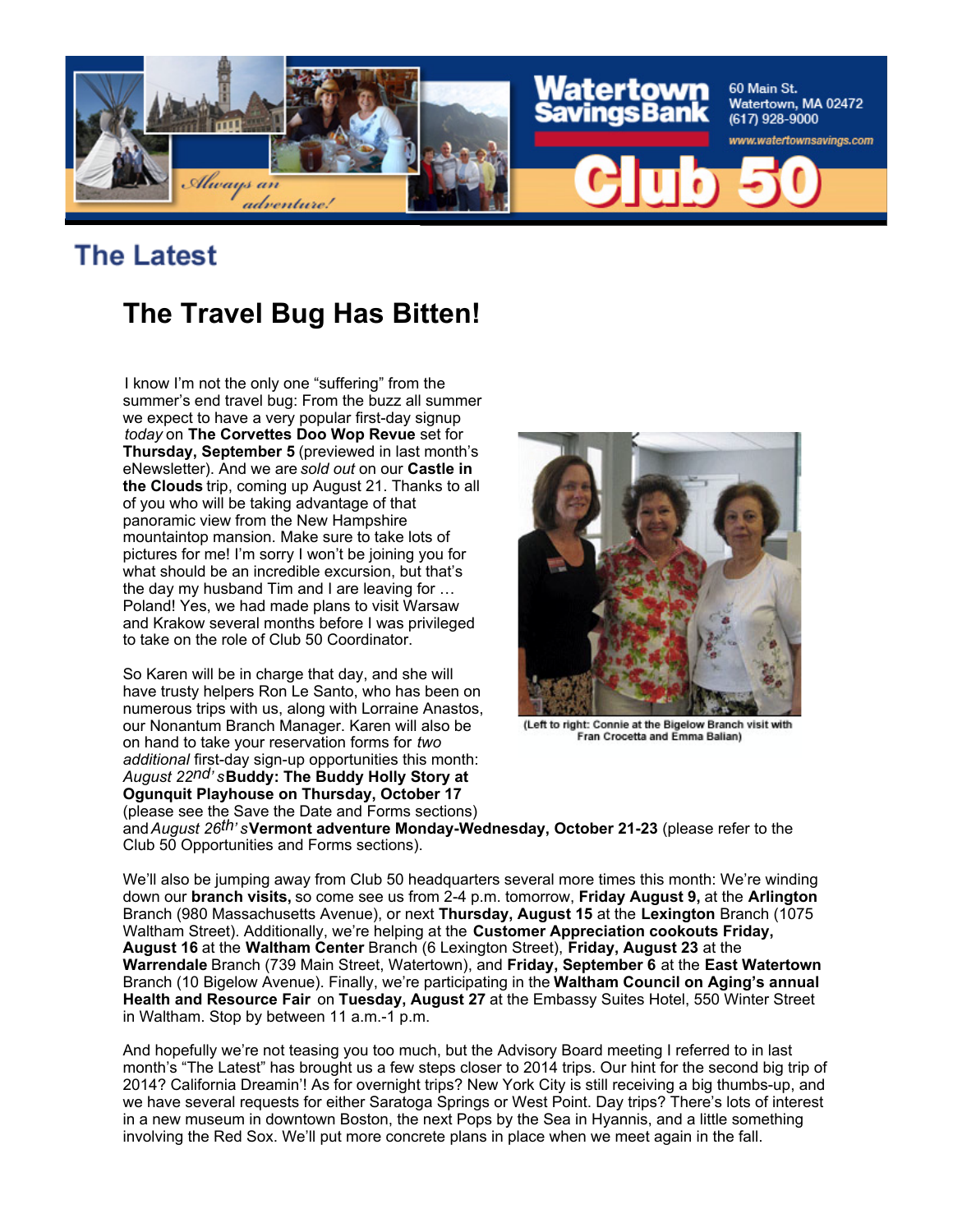

## **The Latest**

## **The Travel Bug Has Bitten!**

I know I'm not the only one "suffering" from the summer's end travel bug: From the buzz all summer we expect to have a very popular first-day signup *today* on **The Corvettes Doo Wop Revue** set for **Thursday, September 5** (previewed in last month's eNewsletter). And we are *sold out* on our **Castle in the Clouds** trip, coming up August 21. Thanks to all of you who will be taking advantage of that panoramic view from the New Hampshire mountaintop mansion. Make sure to take lots of pictures for me! I'm sorry I won't be joining you for what should be an incredible excursion, but that's the day my husband Tim and I are leaving for … Poland! Yes, we had made plans to visit Warsaw and Krakow several months before I was privileged to take on the role of Club 50 Coordinator.

So Karen will be in charge that day, and she will have trusty helpers Ron Le Santo, who has been on numerous trips with us, along with Lorraine Anastos, our Nonantum Branch Manager. Karen will also be on hand to take your reservation forms for *two additional* first-day sign-up opportunities this month: *August 22nd' s***Buddy: The Buddy Holly Story at Ogunquit Playhouse on Thursday, October 17** (please see the Save the Date and Forms sections)



(Left to right: Connie at the Bigelow Branch visit with Fran Crocetta and Emma Balian)

and *August 26th' s***Vermont adventure Monday-Wednesday, October 21-23** (please refer to the Club 50 Opportunities and Forms sections).

We'll also be jumping away from Club 50 headquarters several more times this month: We're winding down our **branch visits,** so come see us from 2-4 p.m. tomorrow, **Friday August 9,** at the **Arlington** Branch (980 Massachusetts Avenue), or next **Thursday, August 15** at the **Lexington** Branch (1075 Waltham Street). Additionally, we're helping at the **Customer Appreciation cookouts Friday, August 16** at the **Waltham Center** Branch (6 Lexington Street), **Friday, August 23** at the **Warrendale** Branch (739 Main Street, Watertown), and **Friday, September 6** at the **East Watertown** Branch (10 Bigelow Avenue). Finally, we're participating in the **Waltham Council on Aging's annual Health and Resource Fair** on **Tuesday, August 27** at the Embassy Suites Hotel, 550 Winter Street in Waltham. Stop by between 11 a.m.-1 p.m.

And hopefully we're not teasing you too much, but the Advisory Board meeting I referred to in last month's "The Latest" has brought us a few steps closer to 2014 trips. Our hint for the second big trip of 2014? California Dreamin'! As for overnight trips? New York City is still receiving a big thumbs-up, and we have several requests for either Saratoga Springs or West Point. Day trips? There's lots of interest in a new museum in downtown Boston, the next Pops by the Sea in Hyannis, and a little something involving the Red Sox. We'll put more concrete plans in place when we meet again in the fall.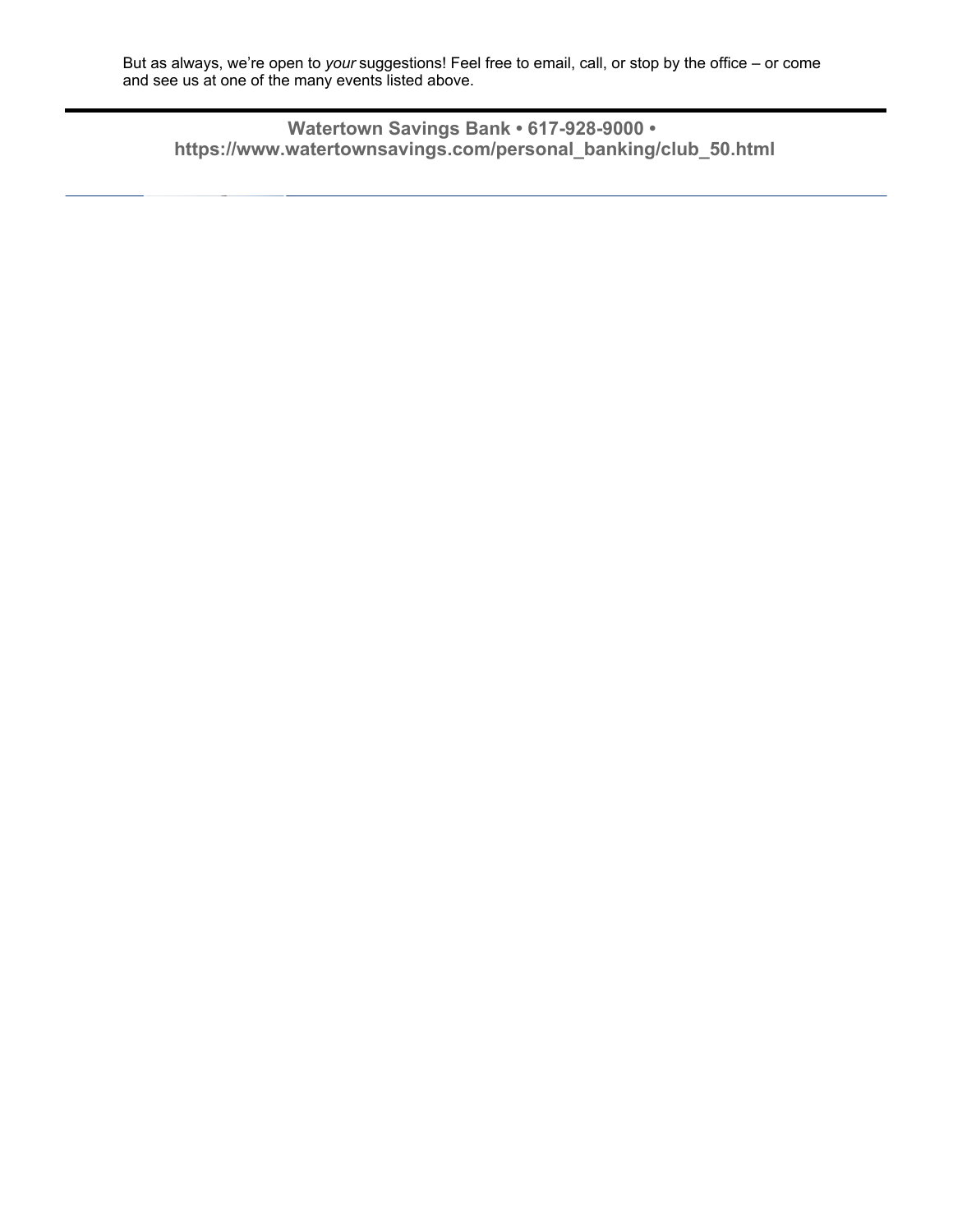But as always, we're open to *your* suggestions! Feel free to email, call, or stop by the office – or come and see us at one of the many events listed above.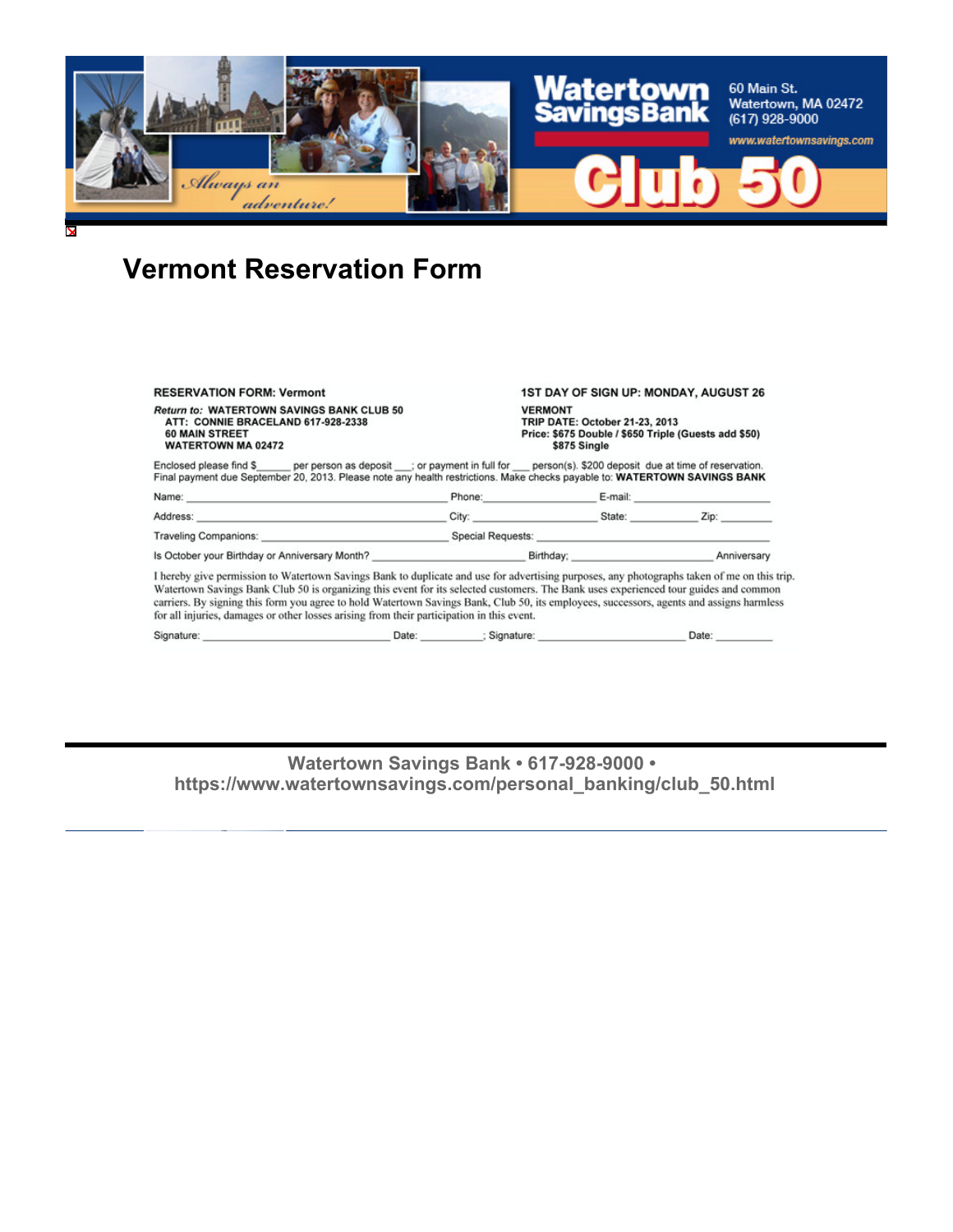

## **Vermont Reservation Form**

|                                                                                                                                                                                                                                                          | I hereby give permission to Watertown Savings Bank to duplicate and use for advertising purposes, any photographs taken of me on this |                                                                                                                                                                                                                                |  |  |
|----------------------------------------------------------------------------------------------------------------------------------------------------------------------------------------------------------------------------------------------------------|---------------------------------------------------------------------------------------------------------------------------------------|--------------------------------------------------------------------------------------------------------------------------------------------------------------------------------------------------------------------------------|--|--|
|                                                                                                                                                                                                                                                          |                                                                                                                                       |                                                                                                                                                                                                                                |  |  |
|                                                                                                                                                                                                                                                          |                                                                                                                                       |                                                                                                                                                                                                                                |  |  |
|                                                                                                                                                                                                                                                          |                                                                                                                                       | Phone: E-mail: E-mail: E-mail: E-mail: E-mail: E-mail: E-mail: E-mail: E-mail: E-mail: E-mail: E-mail: E-mail: E-mail: E-mail: E-mail: E-mail: E-mail: E-mail: E-mail: E-mail: E-mail: E-mail: E-mail: E-mail: E-mail: E-mail: |  |  |
| Enclosed please find \$ per person as deposit ; or payment in full for person(s). \$200 deposit due at time of reservation.<br>Final payment due September 20, 2013. Please note any health restrictions. Make checks payable to: WATERTOWN SAVINGS BANK |                                                                                                                                       |                                                                                                                                                                                                                                |  |  |
| <b>Return to: WATERTOWN SAVINGS BANK CLUB 50</b><br>ATT: CONNIE BRACELAND 617-928-2338<br><b>60 MAIN STREET</b><br><b>WATERTOWN MA 02472</b>                                                                                                             |                                                                                                                                       | <b>VERMONT</b><br>TRIP DATE: October 21-23, 2013<br>Price: \$675 Double / \$650 Triple (Guests add \$50)<br>\$875 Single                                                                                                       |  |  |
| <b>RESERVATION FORM: Vermont</b>                                                                                                                                                                                                                         |                                                                                                                                       | 1ST DAY OF SIGN UP: MONDAY, AUGUST 26                                                                                                                                                                                          |  |  |

is trip. on less for all injuries, damages or other losses arising from their participation in this event.

| Signature: | Date | Signature | Date |
|------------|------|-----------|------|
|            |      |           |      |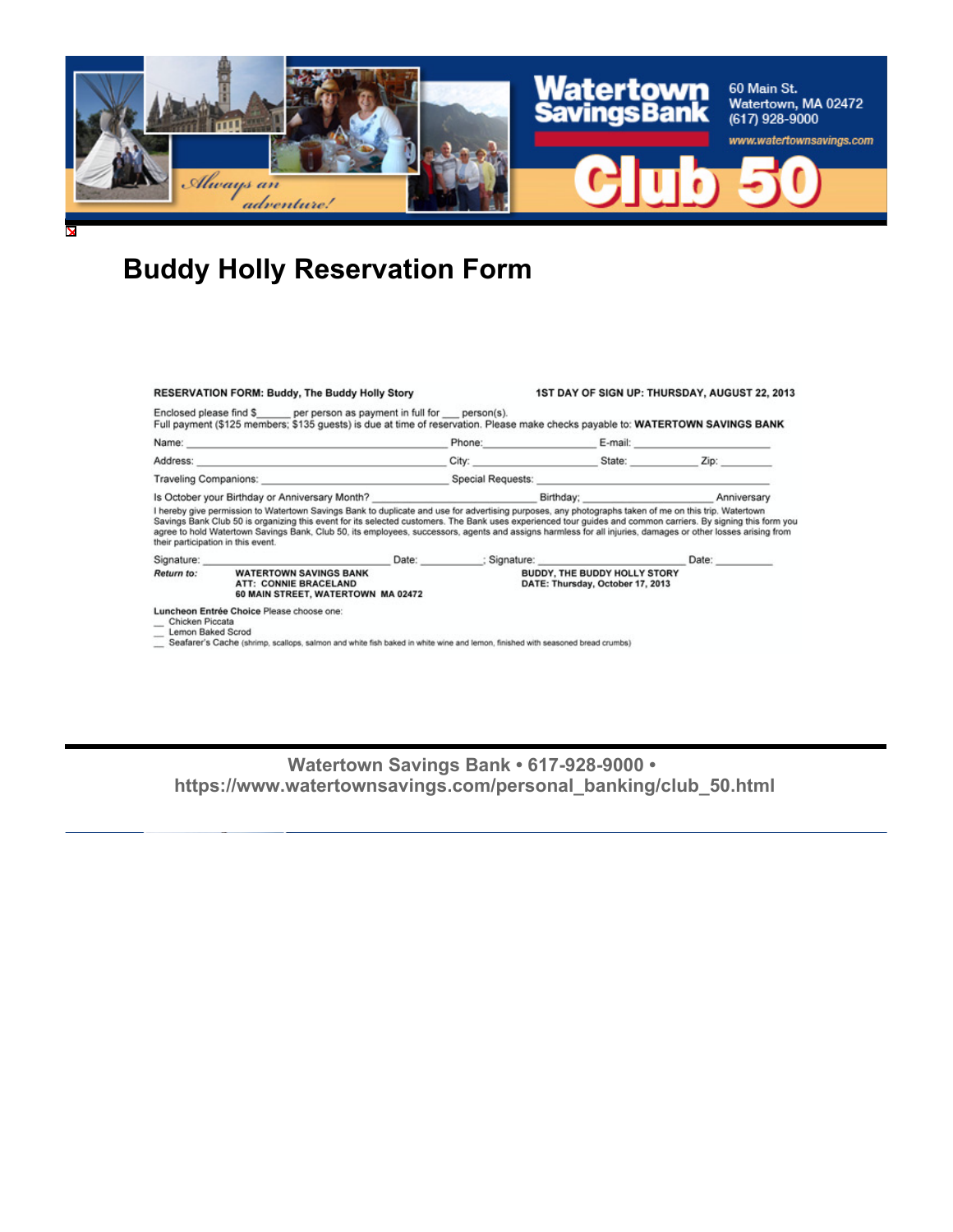

## **Buddy Holly Reservation Form**

| <b>RESERVATION FORM: Buddy, The Buddy Holly Story</b>                                                                                                                                                                         |                                                                                                                                                                                                                                                                                                                                                                                                                                                                                                                              |  |                                                                  | 1ST DAY OF SIGN UP: THURSDAY, AUGUST 22, 2013 |       |  |
|-------------------------------------------------------------------------------------------------------------------------------------------------------------------------------------------------------------------------------|------------------------------------------------------------------------------------------------------------------------------------------------------------------------------------------------------------------------------------------------------------------------------------------------------------------------------------------------------------------------------------------------------------------------------------------------------------------------------------------------------------------------------|--|------------------------------------------------------------------|-----------------------------------------------|-------|--|
|                                                                                                                                                                                                                               | Enclosed please find \$ per person as payment in full for person(s).<br>Full payment (\$125 members; \$135 guests) is due at time of reservation. Please make checks payable to: WATERTOWN SAVINGS BANK                                                                                                                                                                                                                                                                                                                      |  |                                                                  |                                               |       |  |
|                                                                                                                                                                                                                               |                                                                                                                                                                                                                                                                                                                                                                                                                                                                                                                              |  |                                                                  |                                               |       |  |
|                                                                                                                                                                                                                               | Address: No. 2006. The Committee of the Committee of the Committee of the Committee of the Committee of the Committee of the Committee of the Committee of the Committee of the Committee of the Committee of the Committee of                                                                                                                                                                                                                                                                                               |  |                                                                  | City: State: Zip:                             |       |  |
| Traveling Companions: Notice and Special Requests: Note and Special Requests: Note and Special Requests: Note and Special Requests: Note and Special Requests: Note and Special Requests: Note and Special Requests: Note and |                                                                                                                                                                                                                                                                                                                                                                                                                                                                                                                              |  |                                                                  |                                               |       |  |
|                                                                                                                                                                                                                               |                                                                                                                                                                                                                                                                                                                                                                                                                                                                                                                              |  |                                                                  |                                               |       |  |
|                                                                                                                                                                                                                               | I hereby give permission to Watertown Savings Bank to duplicate and use for advertising purposes, any photographs taken of me on this trip. Watertown<br>Savings Bank Club 50 is organizing this event for its selected customers. The Bank uses experienced tour guides and common carriers. By signing this form you<br>agree to hold Watertown Savings Bank, Club 50, its employees, successors, agents and assigns harmless for all injuries, damages or other losses arising from<br>their participation in this event. |  |                                                                  |                                               |       |  |
|                                                                                                                                                                                                                               | Signature: experience and the state of the state of the state of the state of the state of the state of the state of the state of the state of the state of the state of the state of the state of the state of the state of t                                                                                                                                                                                                                                                                                               |  |                                                                  | Date: : Signature: : Signature:               | Date: |  |
| Return to:                                                                                                                                                                                                                    | <b>WATERTOWN SAVINGS BANK</b><br><b>ATT: CONNIE BRACELAND</b><br>60 MAIN STREET, WATERTOWN MA 02472                                                                                                                                                                                                                                                                                                                                                                                                                          |  | BUDDY, THE BUDDY HOLLY STORY<br>DATE: Thursday, October 17, 2013 |                                               |       |  |
| Chicken Piccata<br>Lemon Baked Scrod                                                                                                                                                                                          | Luncheon Entrée Choice Please choose one:<br>Seafarer's Cache (shrimp, scallops, salmon and white fish baked in white wine and lemon, finished with seasoned bread crumbs)                                                                                                                                                                                                                                                                                                                                                   |  |                                                                  |                                               |       |  |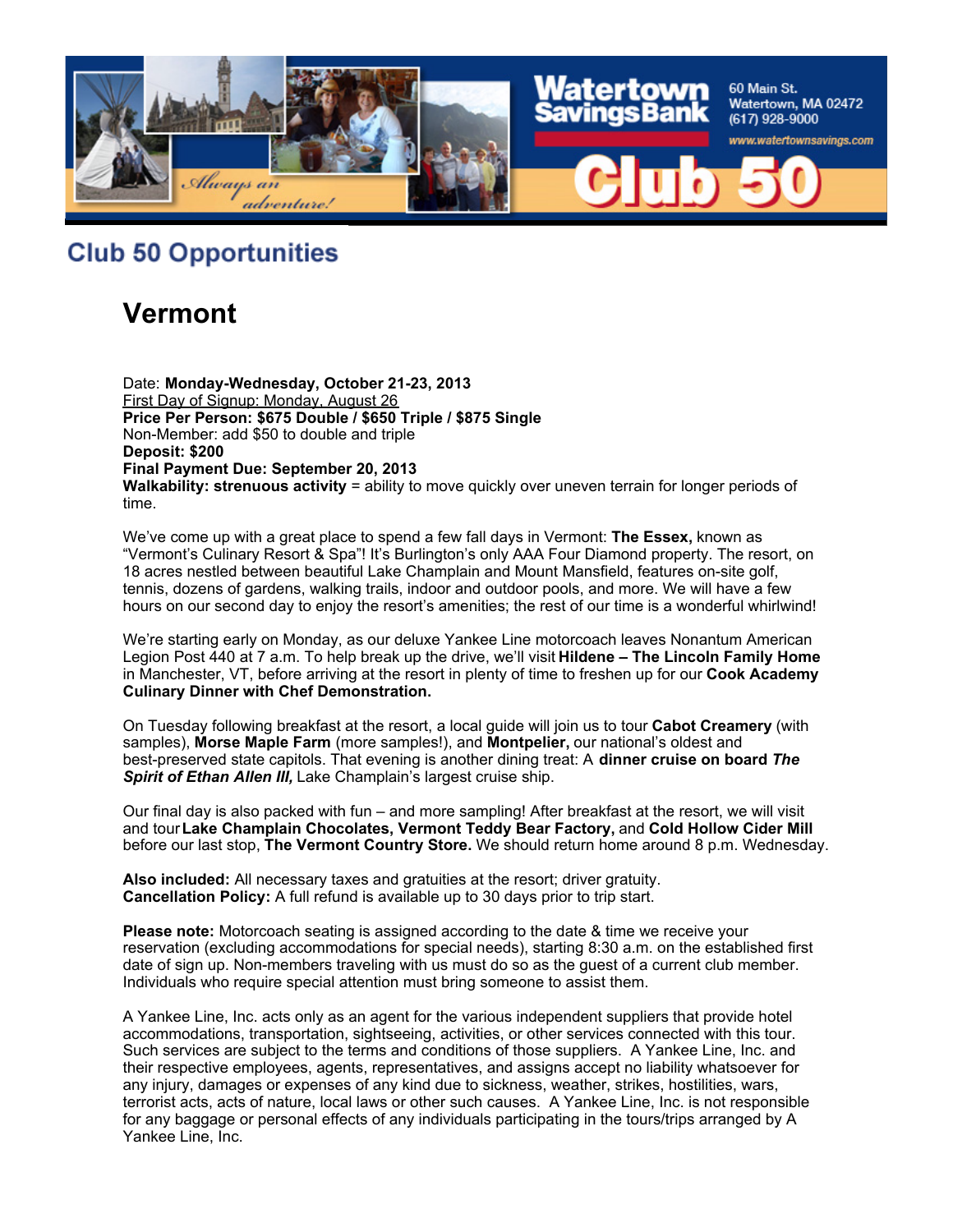

**Club 50 Opportunities** 

## **Vermont**

Date: **Monday-Wednesday, October 21-23, 2013** First Day of Signup: Monday, August 26 **Price Per Person: \$675 Double / \$650 Triple / \$875 Single** Non-Member: add \$50 to double and triple **Deposit: \$200 Final Payment Due: September 20, 2013 Walkability: strenuous activity** = ability to move quickly over uneven terrain for longer periods of time.

We've come up with a great place to spend a few fall days in Vermont: **The Essex,** known as "Vermont's Culinary Resort & Spa"! It's Burlington's only AAA Four Diamond property. The resort, on 18 acres nestled between beautiful Lake Champlain and Mount Mansfield, features on-site golf, tennis, dozens of gardens, walking trails, indoor and outdoor pools, and more. We will have a few hours on our second day to enjoy the resort's amenities; the rest of our time is a wonderful whirlwind!

We're starting early on Monday, as our deluxe Yankee Line motorcoach leaves Nonantum American Legion Post 440 at 7 a.m. To help break up the drive, we'll visit **Hildene – The Lincoln Family Home** in Manchester, VT, before arriving at the resort in plenty of time to freshen up for our **Cook Academy Culinary Dinner with Chef Demonstration.**

On Tuesday following breakfast at the resort, a local guide will join us to tour **Cabot Creamery** (with samples), **Morse Maple Farm** (more samples!), and **Montpelier,** our national's oldest and best-preserved state capitols. That evening is another dining treat: A **dinner cruise on board** *The Spirit of Ethan Allen III,* Lake Champlain's largest cruise ship.

Our final day is also packed with fun – and more sampling! After breakfast at the resort, we will visit and tour **Lake Champlain Chocolates, Vermont Teddy Bear Factory,** and **Cold Hollow Cider Mill** before our last stop, **The Vermont Country Store.** We should return home around 8 p.m. Wednesday.

**Also included:** All necessary taxes and gratuities at the resort; driver gratuity. **Cancellation Policy:** A full refund is available up to 30 days prior to trip start.

**Please note:** Motorcoach seating is assigned according to the date & time we receive your reservation (excluding accommodations for special needs), starting 8:30 a.m. on the established first date of sign up. Non-members traveling with us must do so as the guest of a current club member. Individuals who require special attention must bring someone to assist them.

A Yankee Line, Inc. acts only as an agent for the various independent suppliers that provide hotel accommodations, transportation, sightseeing, activities, or other services connected with this tour. Such services are subject to the terms and conditions of those suppliers. A Yankee Line, Inc. and their respective employees, agents, representatives, and assigns accept no liability whatsoever for any injury, damages or expenses of any kind due to sickness, weather, strikes, hostilities, wars, terrorist acts, acts of nature, local laws or other such causes. A Yankee Line, Inc. is not responsible for any baggage or personal effects of any individuals participating in the tours/trips arranged by A Yankee Line, Inc.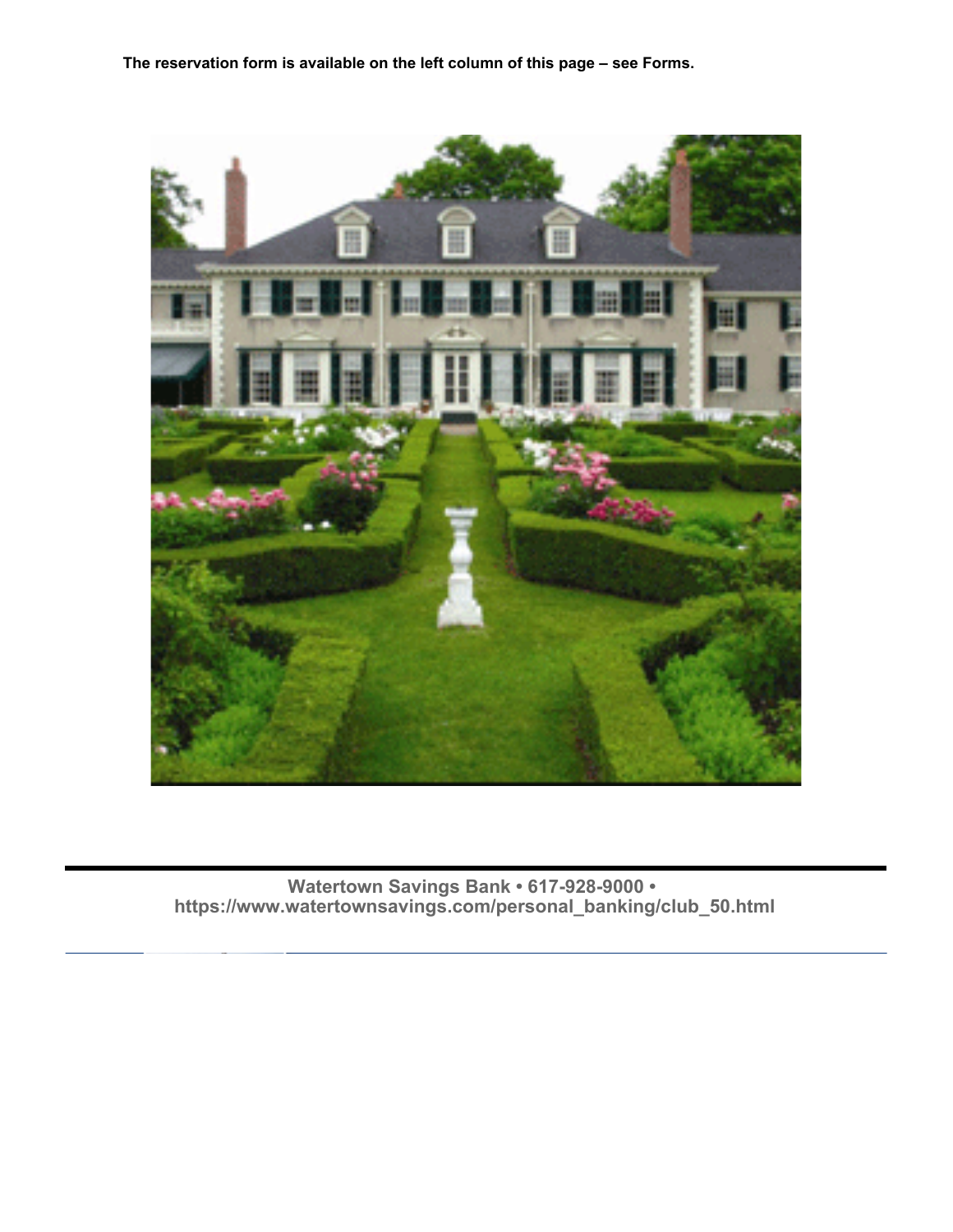**The reservation form is available on the left column of this page – see Forms.**

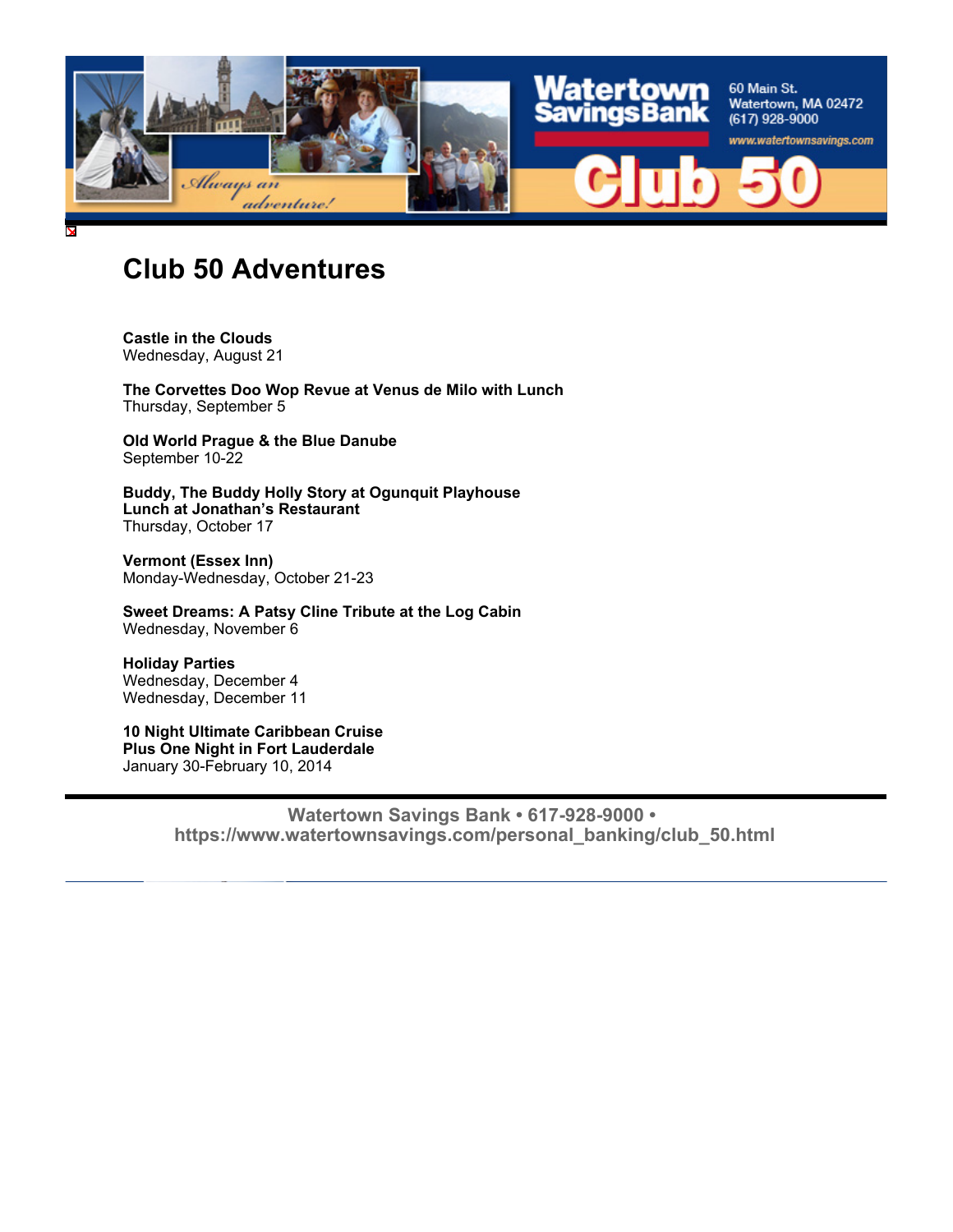

### **Club 50 Adventures**

**Castle in the Clouds** Wednesday, August 21

**The Corvettes Doo Wop Revue at Venus de Milo with Lunch** Thursday, September 5

**Old World Prague & the Blue Danube** September 10-22

**Buddy, The Buddy Holly Story at Ogunquit Playhouse Lunch at Jonathan's Restaurant** Thursday, October 17

**Vermont (Essex Inn)** Monday-Wednesday, October 21-23

**Sweet Dreams: A Patsy Cline Tribute at the Log Cabin** Wednesday, November 6

**Holiday Parties** Wednesday, December 4 Wednesday, December 11

**10 Night Ultimate Caribbean Cruise Plus One Night in Fort Lauderdale** January 30-February 10, 2014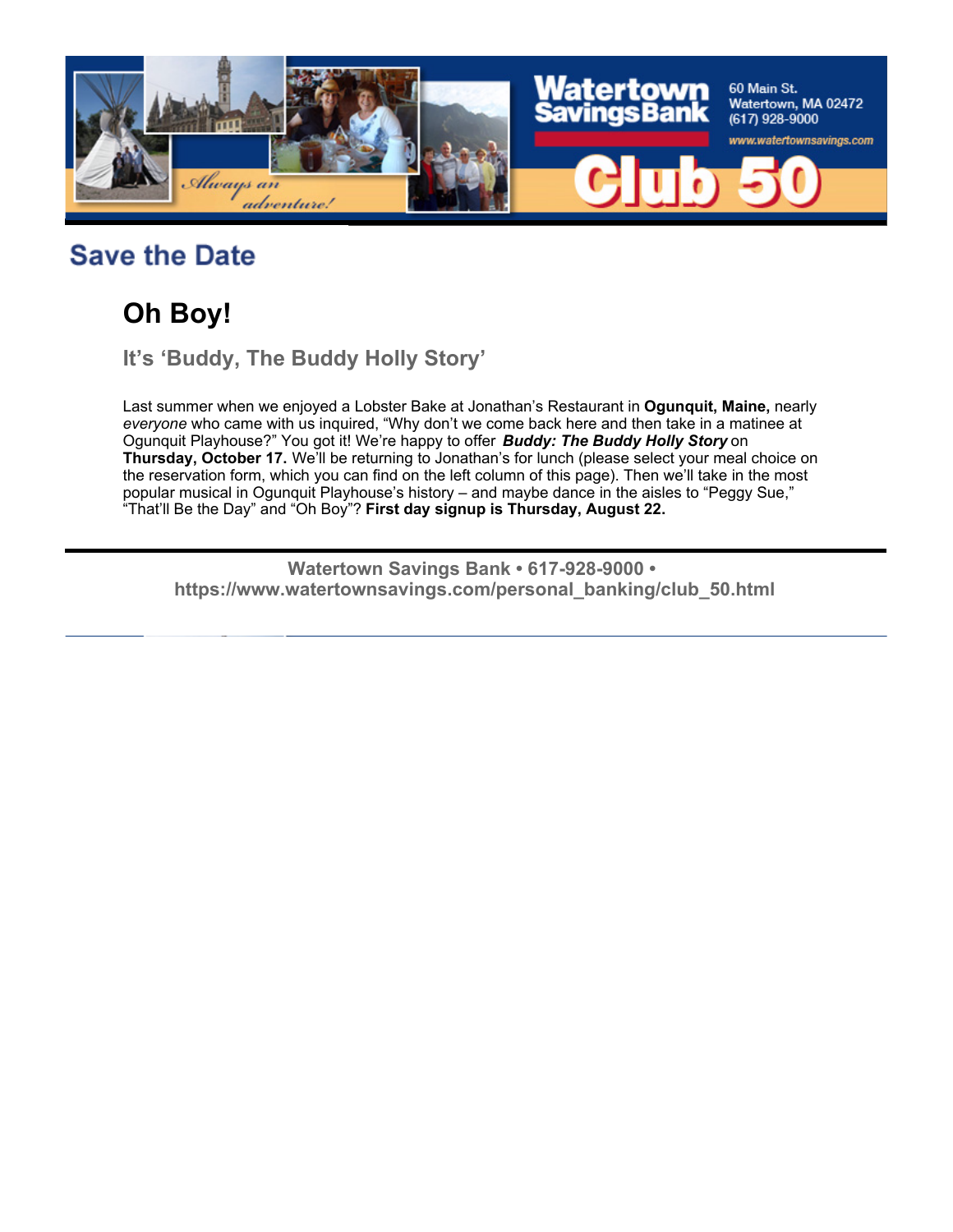

## **Save the Date**

# **Oh Boy!**

**It's 'Buddy, The Buddy Holly Story'** 

Last summer when we enjoyed a Lobster Bake at Jonathan's Restaurant in **Ogunquit, Maine,** nearly *everyone* who came with us inquired, "Why don't we come back here and then take in a matinee at Ogunquit Playhouse?" You got it! We're happy to offer *Buddy: The Buddy Holly Story* on **Thursday, October 17.** We'll be returning to Jonathan's for lunch (please select your meal choice on the reservation form, which you can find on the left column of this page). Then we'll take in the most popular musical in Ogunquit Playhouse's history – and maybe dance in the aisles to "Peggy Sue," "That'll Be the Day" and "Oh Boy"? **First day signup is Thursday, August 22.**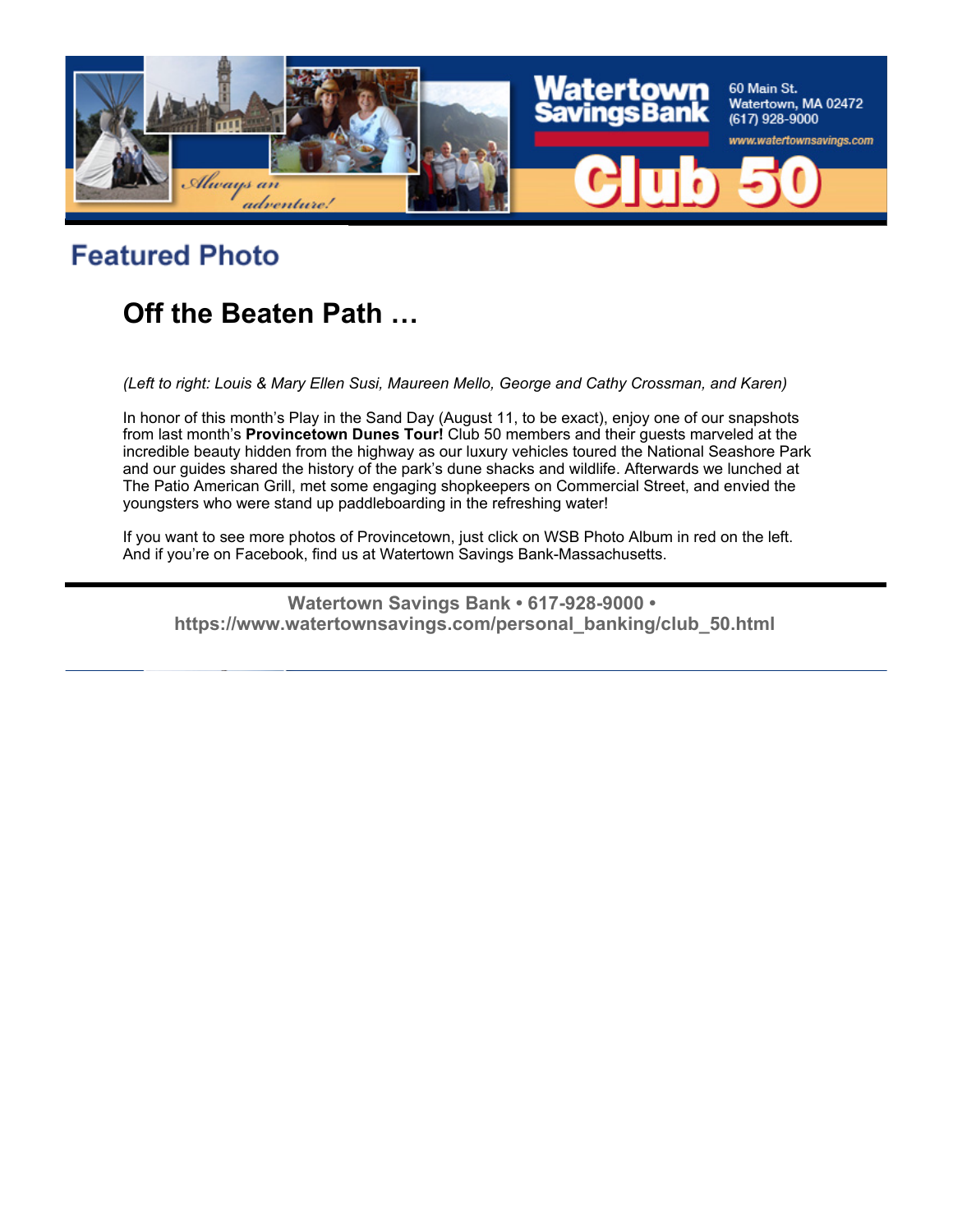

# **Featured Photo**

## **Off the Beaten Path …**

*(Left to right: Louis & Mary Ellen Susi, Maureen Mello, George and Cathy Crossman, and Karen)*

In honor of this month's Play in the Sand Day (August 11, to be exact), enjoy one of our snapshots from last month's **Provincetown Dunes Tour!** Club 50 members and their guests marveled at the incredible beauty hidden from the highway as our luxury vehicles toured the National Seashore Park and our guides shared the history of the park's dune shacks and wildlife. Afterwards we lunched at The Patio American Grill, met some engaging shopkeepers on Commercial Street, and envied the youngsters who were stand up paddleboarding in the refreshing water!

If you want to see more photos of Provincetown, just click on WSB Photo Album in red on the left. And if you're on Facebook, find us at Watertown Savings Bank-Massachusetts.